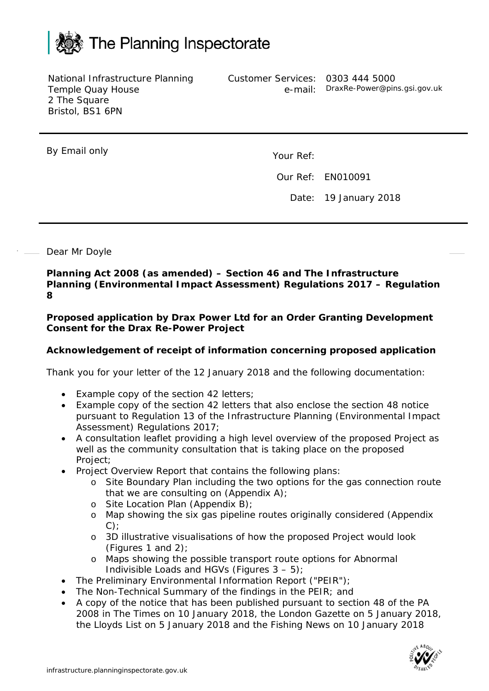

National Infrastructure Planning Temple Quay House 2 The Square Bristol, BS1 6PN

Customer Services: 0303 444 5000

e-mail: DraxRe-Power@pins.gsi.gov.uk

By Email only Nour Ref:

Our Ref: EN010091

Date: 19 January 2018

## Dear Mr Doyle

**Planning Act 2008 (as amended) – Section 46 and The Infrastructure Planning (Environmental Impact Assessment) Regulations 2017 – Regulation 8**

**Proposed application by Drax Power Ltd for an Order Granting Development Consent for the Drax Re-Power Project**

## **Acknowledgement of receipt of information concerning proposed application**

Thank you for your letter of the 12 January 2018 and the following documentation:

- Example copy of the section 42 letters;
- Example copy of the section 42 letters that also enclose the section 48 notice pursuant to Regulation 13 of the Infrastructure Planning (Environmental Impact Assessment) Regulations 2017;
- A consultation leaflet providing a high level overview of the proposed Project as well as the community consultation that is taking place on the proposed Project;
- Project Overview Report that contains the following plans:
	- o Site Boundary Plan including the two options for the gas connection route that we are consulting on (Appendix A);
	- o Site Location Plan (Appendix B);
	- o Map showing the six gas pipeline routes originally considered (Appendix  $C$ ):
	- o 3D illustrative visualisations of how the proposed Project would look (Figures 1 and 2);
	- o Maps showing the possible transport route options for Abnormal Indivisible Loads and HGVs (Figures 3 – 5);
- The Preliminary Environmental Information Report ("PEIR");
- The Non-Technical Summary of the findings in the PEIR; and
- A copy of the notice that has been published pursuant to section 48 of the PA 2008 in The Times on 10 January 2018, the London Gazette on 5 January 2018, the Lloyds List on 5 January 2018 and the Fishing News on 10 January 2018

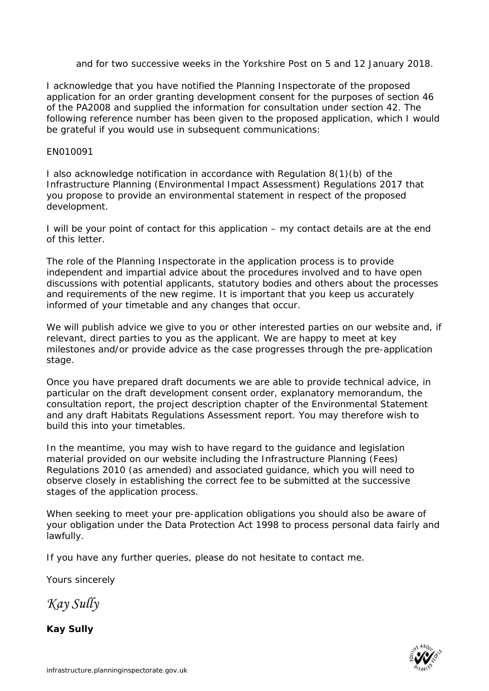and for two successive weeks in the Yorkshire Post on 5 and 12 January 2018.

I acknowledge that you have notified the Planning Inspectorate of the proposed application for an order granting development consent for the purposes of section 46 of the PA2008 and supplied the information for consultation under section 42. The following reference number has been given to the proposed application, which I would be grateful if you would use in subsequent communications:

## EN010091

I also acknowledge notification in accordance with Regulation 8(1)(b) of the Infrastructure Planning (Environmental Impact Assessment) Regulations 2017 that you propose to provide an environmental statement in respect of the proposed development.

I will be your point of contact for this application – my contact details are at the end of this letter.

The role of the Planning Inspectorate in the application process is to provide independent and impartial advice about the procedures involved and to have open discussions with potential applicants, statutory bodies and others about the processes and requirements of the new regime. It is important that you keep us accurately informed of your timetable and any changes that occur.

We will publish advice we give to you or other interested parties on our website and, if relevant, direct parties to you as the applicant. We are happy to meet at key milestones and/or provide advice as the case progresses through the pre-application stage.

Once you have prepared draft documents we are able to provide technical advice, in particular on the draft development consent order, explanatory memorandum, the consultation report, the project description chapter of the Environmental Statement and any draft Habitats Regulations Assessment report. You may therefore wish to build this into your timetables.

In the meantime, you may wish to have regard to the guidance and legislation material provided on our website including the Infrastructure Planning (Fees) Regulations 2010 (as amended) and associated guidance, which you will need to observe closely in establishing the correct fee to be submitted at the successive stages of the application process.

When seeking to meet your pre-application obligations you should also be aware of your obligation under the Data Protection Act 1998 to process personal data fairly and lawfully.

If you have any further queries, please do not hesitate to contact me.

Yours sincerely

*Kay Sully*

**Kay Sully**